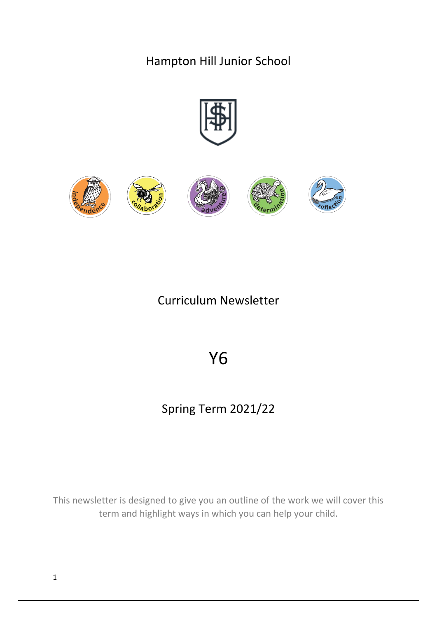# Hampton Hill Junior School

## Curriculum Newsletter

# Y6

# Spring Term 2021/22

This newsletter is designed to give you an outline of the work we will cover this term and highlight ways in which you can help your child.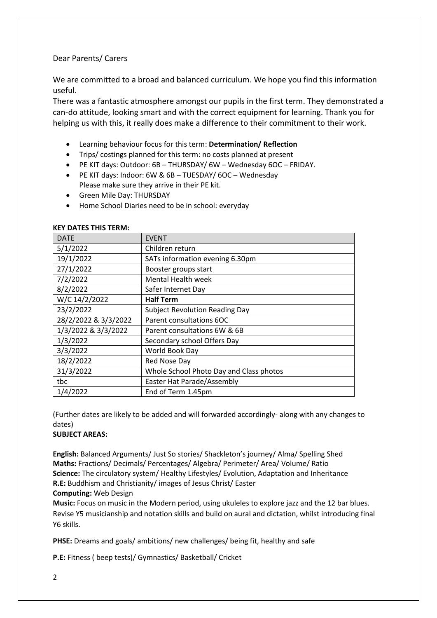### Dear Parents/ Carers

We are committed to a broad and balanced curriculum. We hope you find this information useful.

There was a fantastic atmosphere amongst our pupils in the first term. They demonstrated a can-do attitude, looking smart and with the correct equipment for learning. Thank you for helping us with this, it really does make a difference to their commitment to their work.

- Learning behaviour focus for this term: **Determination/ Reflection**
- Trips/ costings planned for this term: no costs planned at present
- PE KIT days: Outdoor: 6B THURSDAY/ 6W Wednesday 6OC FRIDAY.
- PE KIT days: Indoor: 6W & 6B TUESDAY/ 6OC Wednesday Please make sure they arrive in their PE kit.
- Green Mile Day: THURSDAY
- Home School Diaries need to be in school: everyday

| <b>DATE</b>          | <b>EVENT</b>                            |
|----------------------|-----------------------------------------|
| 5/1/2022             | Children return                         |
| 19/1/2022            | SATs information evening 6.30pm         |
| 27/1/2022            | Booster groups start                    |
| 7/2/2022             | Mental Health week                      |
| 8/2/2022             | Safer Internet Day                      |
| W/C 14/2/2022        | <b>Half Term</b>                        |
| 23/2/2022            | <b>Subject Revolution Reading Day</b>   |
| 28/2/2022 & 3/3/2022 | Parent consultations 6OC                |
| 1/3/2022 & 3/3/2022  | Parent consultations 6W & 6B            |
| 1/3/2022             | Secondary school Offers Day             |
| 3/3/2022             | World Book Day                          |
| 18/2/2022            | Red Nose Day                            |
| 31/3/2022            | Whole School Photo Day and Class photos |
| tbc                  | Easter Hat Parade/Assembly              |
| 1/4/2022             | End of Term 1.45pm                      |

### **KEY DATES THIS TERM:**

(Further dates are likely to be added and will forwarded accordingly- along with any changes to dates)

### **SUBJECT AREAS:**

**English:** Balanced Arguments/ Just So stories/ Shackleton's journey/ Alma/ Spelling Shed **Maths:** Fractions/ Decimals/ Percentages/ Algebra/ Perimeter/ Area/ Volume/ Ratio **Science:** The circulatory system/ Healthy Lifestyles/ Evolution, Adaptation and Inheritance **R.E:** Buddhism and Christianity/ images of Jesus Christ/ Easter

### **Computing:** Web Design

**Music:** Focus on music in the Modern period, using ukuleles to explore jazz and the 12 bar blues. Revise Y5 musicianship and notation skills and build on aural and dictation, whilst introducing final Y6 skills.

**PHSE:** Dreams and goals/ ambitions/ new challenges/ being fit, healthy and safe

**P.E:** Fitness ( beep tests)/ Gymnastics/ Basketball/ Cricket